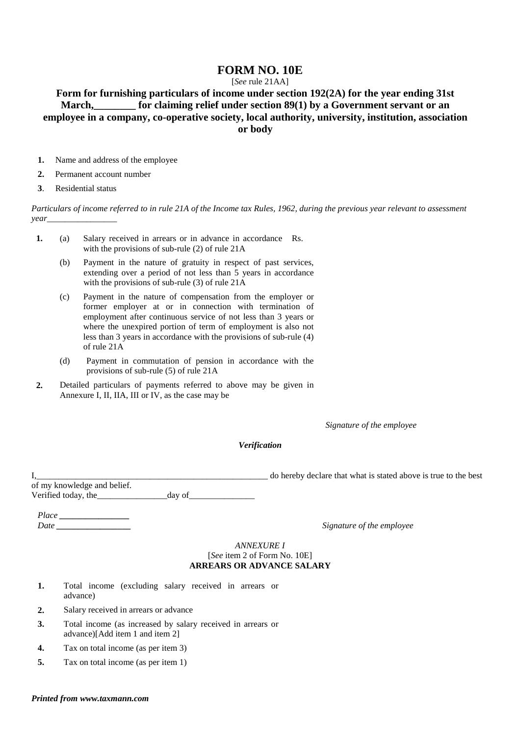# **FORM NO. 10E**

## [*See* rule 21AA]

# **Form for furnishing particulars of income under section 192(2A) for the year ending 31st**  March, for claiming relief under section 89(1) by a Government servant or an **employee in a company, co-operative society, local authority, university, institution, association or body**

- **1.** Name and address of the employee
- **2.** Permanent account number
- **3**. Residential status

*Particulars of income referred to in rule 21A of the Income tax Rules, 1962, during the previous year relevant to assessment year\_\_\_\_\_\_\_\_\_\_\_\_\_\_\_\_* 

- **1.** (a) Salary received in arrears or in advance in accordance Rs. with the provisions of sub-rule (2) of rule 21A
	- (b) Payment in the nature of gratuity in respect of past services, extending over a period of not less than 5 years in accordance with the provisions of sub-rule (3) of rule 21A
	- (c) Payment in the nature of compensation from the employer or former employer at or in connection with termination of employment after continuous service of not less than 3 years or where the unexpired portion of term of employment is also not less than 3 years in accordance with the provisions of sub-rule (4) of rule 21A
	- (d) Payment in commutation of pension in accordance with the provisions of sub-rule (5) of rule 21A
- **2.** Detailed particulars of payments referred to above may be given in Annexure I, II, IIA, III or IV, as the case may be

*Signature of the employee* 

*Verification* 

I, the stated above is true to the best do hereby declare that what is stated above is true to the best of my knowledge and belief. Verified today, the  $\frac{1}{2}$  day of  $\frac{1}{2}$ 

*Place \_\_\_\_\_\_\_\_\_\_\_\_\_\_\_\_ Date*<sub>*Date*</sub> *Date*<sub>*num*</sub> *Date*<sup>*num*</sup> *Date*<sup>*num*</sup> *Signature of the employee Signature of the employee* 

#### *ANNEXURE I*  [*See* item 2 of Form No. 10E] **ARREARS OR ADVANCE SALARY**

- **1.** Total income (excluding salary received in arrears or advance)
- **2.** Salary received in arrears or advance
- **3.** Total income (as increased by salary received in arrears or advance)[Add item 1 and item 2]
- **4.** Tax on total income (as per item 3)
- **5.** Tax on total income (as per item 1)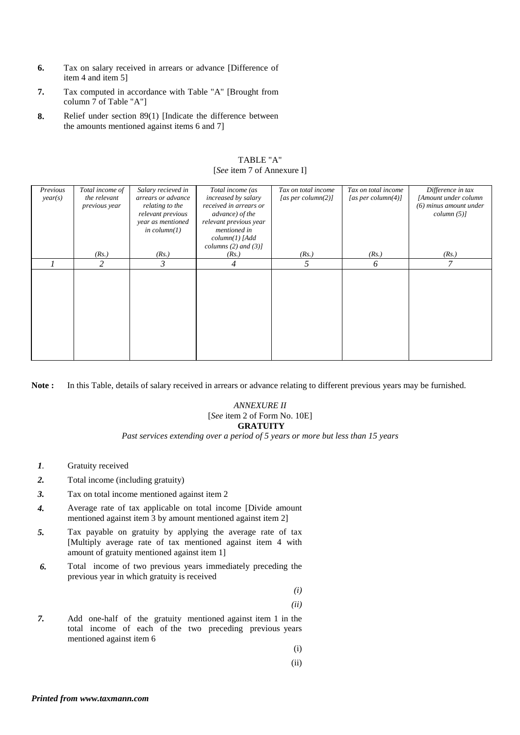- **6.** Tax on salary received in arrears or advance [Difference of item 4 and item 5]
- **7.** Tax computed in accordance with Table "A" [Brought from column 7 of Table "A"]
- **8.** Relief under section 89(1) [Indicate the difference between the amounts mentioned against items 6 and 7]

| Previous<br>year(s) | Total income of<br>the relevant<br>previous year | Salary recieved in<br>arrears or advance<br>relating to the<br>relevant previous | Total income (as<br>increased by salary<br>received in arrears or<br>advance) of the | Tax on total income<br>[as per column(2)] | Tax on total income<br>[as per column(4)] | Difference in tax<br>[Amount under column<br>$(6)$ minus amount under<br>$column (5)$ ] |
|---------------------|--------------------------------------------------|----------------------------------------------------------------------------------|--------------------------------------------------------------------------------------|-------------------------------------------|-------------------------------------------|-----------------------------------------------------------------------------------------|
|                     |                                                  | year as mentioned<br>in $column(1)$                                              | relevant previous year<br>mentioned in                                               |                                           |                                           |                                                                                         |
|                     |                                                  |                                                                                  | $column(1)$ [Add<br>columns $(2)$ and $(3)$ ]                                        |                                           |                                           |                                                                                         |
|                     | (Rs.)                                            | (Rs.)                                                                            | (Rs.)                                                                                | (Rs.)                                     | (Rs.)                                     | (Rs.)                                                                                   |
|                     | 2                                                | 3                                                                                | 4                                                                                    | 5                                         | 6                                         | 7                                                                                       |
|                     |                                                  |                                                                                  |                                                                                      |                                           |                                           |                                                                                         |
|                     |                                                  |                                                                                  |                                                                                      |                                           |                                           |                                                                                         |
|                     |                                                  |                                                                                  |                                                                                      |                                           |                                           |                                                                                         |
|                     |                                                  |                                                                                  |                                                                                      |                                           |                                           |                                                                                         |
|                     |                                                  |                                                                                  |                                                                                      |                                           |                                           |                                                                                         |
|                     |                                                  |                                                                                  |                                                                                      |                                           |                                           |                                                                                         |
|                     |                                                  |                                                                                  |                                                                                      |                                           |                                           |                                                                                         |
|                     |                                                  |                                                                                  |                                                                                      |                                           |                                           |                                                                                         |
|                     |                                                  |                                                                                  |                                                                                      |                                           |                                           |                                                                                         |

TABLE "A" [*See* item 7 of Annexure I]

**Note :** In this Table, details of salary received in arrears or advance relating to different previous years may be furnished.

### *ANNEXURE II*  [*See* item 2 of Form No. 10E]  **GRATUITY**

*Past services extending over a period of 5 years or more but less than 15 years*

- *1.* Gratuity received
- 2. Total income (including gratuity)
- *3.* Tax on total income mentioned against item 2
- *4.* Average rate of tax applicable on total income [Divide amount mentioned against item 3 by amount mentioned against item 2]
- *5.* Tax payable on gratuity by applying the average rate of tax [Multiply average rate of tax mentioned against item 4 with amount of gratuity mentioned against item 1]
- *6.* Total income of two previous years immediately preceding the previous year in which gratuity is received

*(i)* 

 *(ii)* 

*7.* Add one-half of the gratuity mentioned against item 1 in the total income of each of the two preceding previous years mentioned against item 6

(i)

(ii)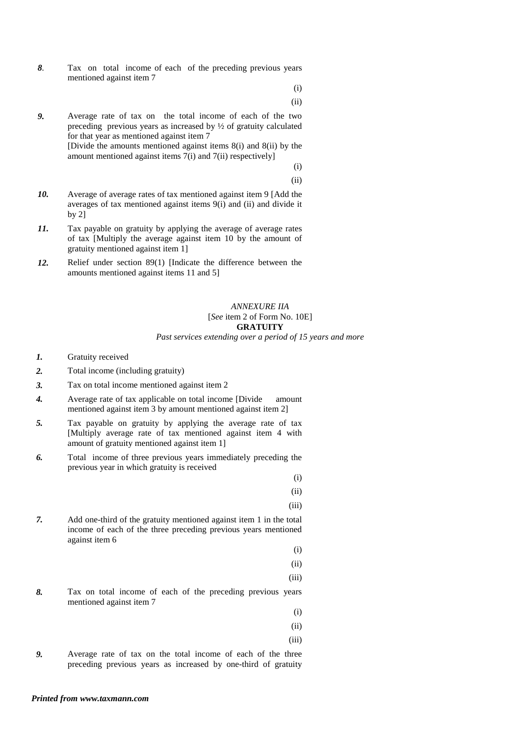*8.* Tax on total income of each of the preceding previous years mentioned against item 7

(i)

(ii)

*9.* Average rate of tax on the total income of each of the two preceding previous years as increased by ½ of gratuity calculated for that year as mentioned against item 7 [Divide the amounts mentioned against items 8(i) and 8(ii) by the

amount mentioned against items 7(i) and 7(ii) respectively]

 (i) (ii)

- *10.* Average of average rates of tax mentioned against item 9 [Add the averages of tax mentioned against items 9(i) and (ii) and divide it by 2]
- *11.* Tax payable on gratuity by applying the average of average rates of tax [Multiply the average against item 10 by the amount of gratuity mentioned against item 1]
- *12.* Relief under section 89(1) [Indicate the difference between the amounts mentioned against items 11 and 5]

# *ANNEXURE IIA*  [*See* item 2 of Form No. 10E] **GRATUITY**

*Past services extending over a period of 15 years and more* 

- *1.* Gratuity received
- 2. Total income (including gratuity)
- *3.* Tax on total income mentioned against item 2
- *4.* Average rate of tax applicable on total income [Divide amount mentioned against item 3 by amount mentioned against item 2]
- *5.* Tax payable on gratuity by applying the average rate of tax [Multiply average rate of tax mentioned against item 4 with amount of gratuity mentioned against item 1]
- *6.* Total income of three previous years immediately preceding the previous year in which gratuity is received

 (i) (ii)

- (iii)
- *7.* Add one-third of the gratuity mentioned against item 1 in the total income of each of the three preceding previous years mentioned against item 6

 (i) (ii)

(iii)

*8.* Tax on total income of each of the preceding previous years mentioned against item 7

(i)

- (ii)
- (iii)
- *9.* Average rate of tax on the total income of each of the three preceding previous years as increased by one-third of gratuity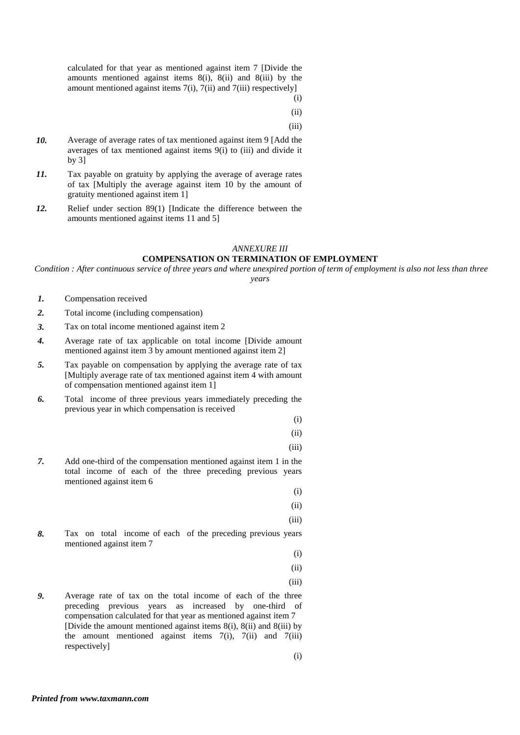calculated for that year as mentioned against item 7 [Divide the amounts mentioned against items 8(i), 8(ii) and 8(iii) by the amount mentioned against items 7(i), 7(ii) and 7(iii) respectively] (i)

(ii)

(iii)

- *10.* Average of average rates of tax mentioned against item 9 [Add the averages of tax mentioned against items 9(i) to (iii) and divide it by 3]
- *11.* Tax payable on gratuity by applying the average of average rates of tax [Multiply the average against item 10 by the amount of gratuity mentioned against item 1]
- *12.* Relief under section 89(1) [Indicate the difference between the amounts mentioned against items 11 and 5]

#### *ANNEXURE III*

### **COMPENSATION ON TERMINATION OF EMPLOYMENT**

 *Condition : After continuous service of three years and where unexpired portion of term of employment is also not less than three years* 

- *1.* Compensation received
- *2.* Total income (including compensation)
- *3.* Tax on total income mentioned against item 2
- *4.* Average rate of tax applicable on total income [Divide amount mentioned against item 3 by amount mentioned against item 2]
- *5.* Tax payable on compensation by applying the average rate of tax [Multiply average rate of tax mentioned against item 4 with amount of compensation mentioned against item 1]
- *6.* Total income of three previous years immediately preceding the previous year in which compensation is received

(i)

(ii)

(iii)

*7.* Add one-third of the compensation mentioned against item 1 in the total income of each of the three preceding previous years mentioned against item 6

(i)

(ii)

(iii)

*8.* Tax on total income of each of the preceding previous years mentioned against item 7

(i)

- (ii)
- (iii)
- *9.* Average rate of tax on the total income of each of the three preceding previous years as increased by one-third of compensation calculated for that year as mentioned against item 7 [Divide the amount mentioned against items  $8(i)$ ,  $8(ii)$  and  $8(iii)$  by the amount mentioned against items  $7(i)$ ,  $7(ii)$  and  $7(iii)$ respectively]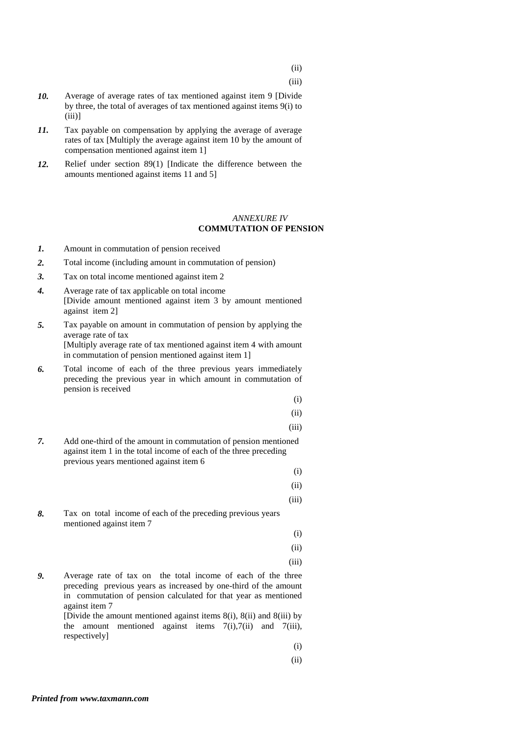(iii)

- *10.* Average of average rates of tax mentioned against item 9 [Divide by three, the total of averages of tax mentioned against items 9(i) to  $(iii)$ ]
- *11.* Tax payable on compensation by applying the average of average rates of tax [Multiply the average against item 10 by the amount of compensation mentioned against item 1]
- *12.* Relief under section 89(1) [Indicate the difference between the amounts mentioned against items 11 and 5]

#### *ANNEXURE IV*   **COMMUTATION OF PENSION**

- *1.* Amount in commutation of pension received
- *2.* Total income (including amount in commutation of pension)
- *3.* Tax on total income mentioned against item 2
- *4.* Average rate of tax applicable on total income [Divide amount mentioned against item 3 by amount mentioned against item 2]
- *5.* Tax payable on amount in commutation of pension by applying the average rate of tax [Multiply average rate of tax mentioned against item 4 with amount in commutation of pension mentioned against item 1]
- *6.* Total income of each of the three previous years immediately preceding the previous year in which amount in commutation of pension is received

(i)

$$
\qquad \qquad \textbf{(ii)}
$$

(iii)

*7.* Add one-third of the amount in commutation of pension mentioned against item 1 in the total income of each of the three preceding previous years mentioned against item 6

(ii)

(i)

- (iii)
- *8.* Tax on total income of each of the preceding previous years mentioned against item 7 (i)

(ii)

(iii)

*9.* Average rate of tax on the total income of each of the three preceding previous years as increased by one-third of the amount in commutation of pension calculated for that year as mentioned against item 7

[Divide the amount mentioned against items  $8(i)$ ,  $8(ii)$  and  $8(iii)$  by the amount mentioned against items  $7(i)$ ,  $7(ii)$  and  $7(iii)$ , respectively]

(i)

(ii)